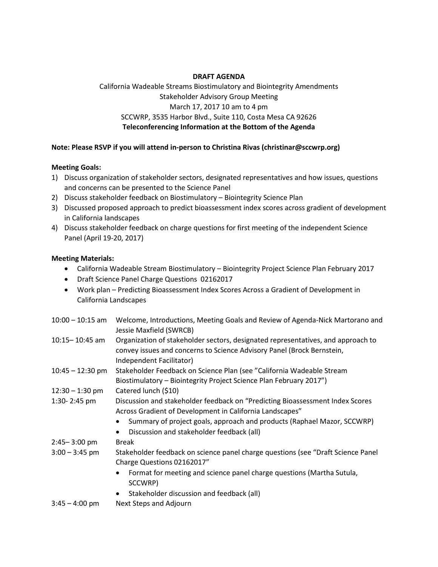## **DRAFT AGENDA**

California Wadeable Streams Biostimulatory and Biointegrity Amendments Stakeholder Advisory Group Meeting March 17, 2017 10 am to 4 pm SCCWRP, 3535 Harbor Blvd., Suite 110, Costa Mesa CA 92626 **Teleconferencing Information at the Bottom of the Agenda**

### **Note: Please RSVP if you will attend in-person to Christina Rivas (christinar@sccwrp.org)**

### **Meeting Goals:**

- 1) Discuss organization of stakeholder sectors, designated representatives and how issues, questions and concerns can be presented to the Science Panel
- 2) Discuss stakeholder feedback on Biostimulatory Biointegrity Science Plan
- 3) Discussed proposed approach to predict bioassessment index scores across gradient of development in California landscapes
- 4) Discuss stakeholder feedback on charge questions for first meeting of the independent Science Panel (April 19-20, 2017)

### **Meeting Materials:**

- California Wadeable Stream Biostimulatory Biointegrity Project Science Plan February 2017
- Draft Science Panel Charge Questions 02162017
- Work plan Predicting Bioassessment Index Scores Across a Gradient of Development in California Landscapes

| $10:00 - 10:15$ am | Welcome, Introductions, Meeting Goals and Review of Agenda-Nick Martorano and<br>Jessie Maxfield (SWRCB)                                                                               |
|--------------------|----------------------------------------------------------------------------------------------------------------------------------------------------------------------------------------|
| $10:15 - 10:45$ am | Organization of stakeholder sectors, designated representatives, and approach to<br>convey issues and concerns to Science Advisory Panel (Brock Bernstein,<br>Independent Facilitator) |
| $10:45 - 12:30$ pm | Stakeholder Feedback on Science Plan (see "California Wadeable Stream<br>Biostimulatory – Biointegrity Project Science Plan February 2017")                                            |
| $12:30 - 1:30$ pm  | Catered lunch (\$10)                                                                                                                                                                   |
| 1:30-2:45 pm       | Discussion and stakeholder feedback on "Predicting Bioassessment Index Scores"<br>Across Gradient of Development in California Landscapes"                                             |
|                    | Summary of project goals, approach and products (Raphael Mazor, SCCWRP)<br>Discussion and stakeholder feedback (all)<br>$\bullet$                                                      |
| $2:45 - 3:00$ pm   | <b>Break</b>                                                                                                                                                                           |
| $3:00 - 3:45$ pm   | Stakeholder feedback on science panel charge questions (see "Draft Science Panel<br>Charge Questions 02162017"                                                                         |
|                    | Format for meeting and science panel charge questions (Martha Sutula,<br>SCCWRP)                                                                                                       |
|                    | Stakeholder discussion and feedback (all)<br>$\bullet$                                                                                                                                 |
| $3.45 - 4.00$ nm   | Neyt Stens and Adjourn                                                                                                                                                                 |

3:45 – 4:00 pm Next Steps and Adjourn